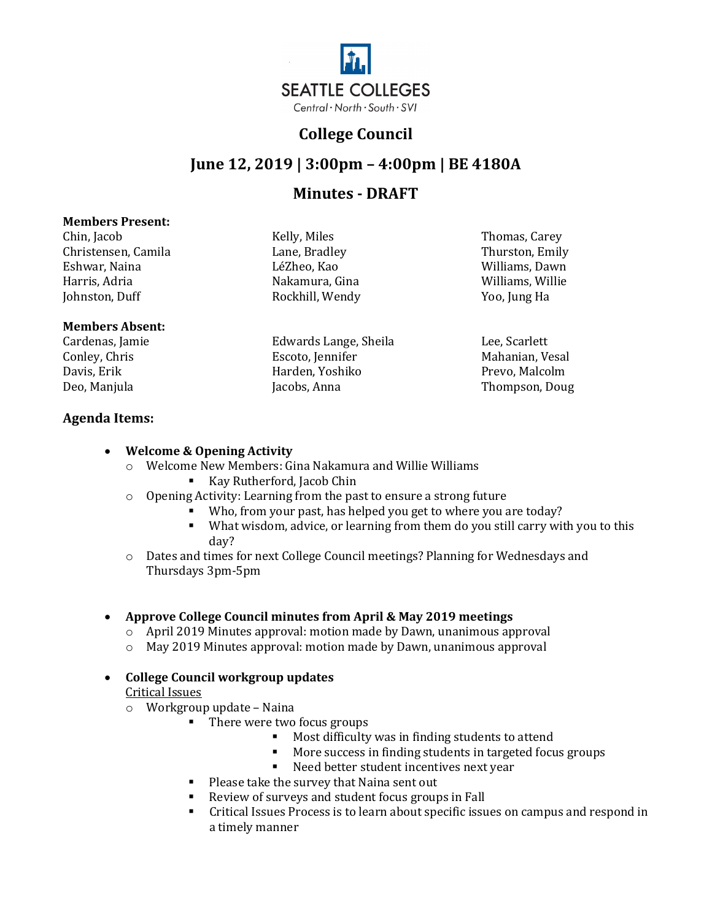

## **College Council**

# **June 12, 2019 | 3:00pm – 4:00pm | BE 4180A**

## **Minutes - DRAFT**

#### **Members Present:**

Chin, Jacob Kelly, Miles Thomas, Carey Christensen, Camila Lane, Bradley Thurston, Emily Eshwar, Naina LéZheo, Kao Williams, Dawn Harris, Adria Nakamura, Gina Williams, Willie

### **Members Absent:**

Cardenas, Jamie Edwards Lange, Sheila Lee, Scarlett Davis, Erik Harden, Yoshiko Harden, Yoshiko Peo, Manjula

### **Agenda Items:**

### • **Welcome & Opening Activity**

- o Welcome New Members: Gina Nakamura and Willie Williams Kay Rutherford, Jacob Chin
- o Opening Activity: Learning from the past to ensure a strong future

Rockhill, Wendy

- Who, from your past, has helped you get to where you are today?
- What wisdom, advice, or learning from them do you still carry with you to this day?
- o Dates and times for next College Council meetings? Planning for Wednesdays and Thursdays 3pm-5pm

### • **Approve College Council minutes from April & May 2019 meetings**

- o April 2019 Minutes approval: motion made by Dawn, unanimous approval
- o May 2019 Minutes approval: motion made by Dawn, unanimous approval

## • **College Council workgroup updates**

Critical Issues

- o Workgroup update Naina
	- There were two focus groups
		- Most difficulty was in finding students to attend
		- **More success in finding students in targeted focus groups**<br>**Need better student incentives next year**
		- Need better student incentives next year
	- **Please take the survey that Naina sent out**
	- Review of surveys and student focus groups in Fall
	- Critical Issues Process is to learn about specific issues on campus and respond in a timely manner

Conley, Chris Escoto, Jennifer Mahanian, Vesal Thompson, Doug